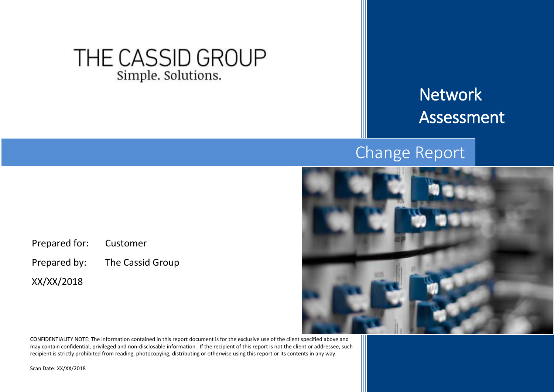# THE CASSID GROUP Simple. Solutions.

# Network Assessment

# Change Report



CONFIDENTIALITY NOTE: The information contained in this report document is for the exclusive use of the client specified above and may contain confidential, privileged and non-disclosable information. If the recipient of this report is not the client or addressee, such recipient is strictly prohibited from reading, photocopying, distributing or otherwise using this report or its contents in any way.

Scan Date: XX/XX/2018

XX/XX/2018

Prepared for: Customer

Prepared by: The Cassid Group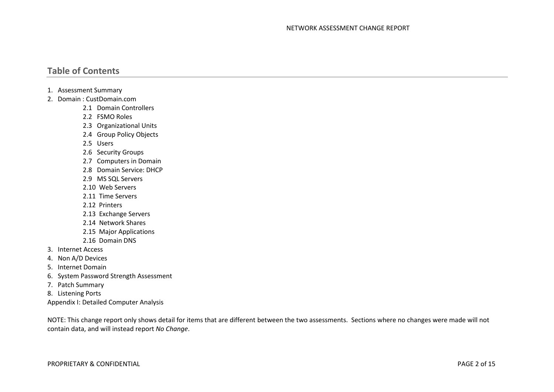#### **Table of Contents**

- 1. Assessment Summary
- 2. Domain : CustDomain.com
	- 2.1 Domain Controllers
	- 2.2 FSMO Roles
	- 2.3 Organizational Units
	- 2.4 Group Policy Objects
	- 2.5 Users
	- 2.6 Security Groups
	- 2.7 Computers in Domain
	- 2.8 Domain Service: DHCP
	- 2.9 MS SQL Servers
	- 2.10 Web Servers
	- 2.11 Time Servers
	- 2.12 Printers
	- 2.13 Exchange Servers
	- 2.14 Network Shares
	- 2.15 Major Applications
	- 2.16 Domain DNS
- 3. Internet Access
- 4. Non A/D Devices
- 5. Internet Domain
- 6. System Password Strength Assessment
- 7. Patch Summary
- 8. Listening Ports
- Appendix I: Detailed Computer Analysis

NOTE: This change report only shows detail for items that are different between the two assessments. Sections where no changes were made will not contain data, and will instead report *No Change*.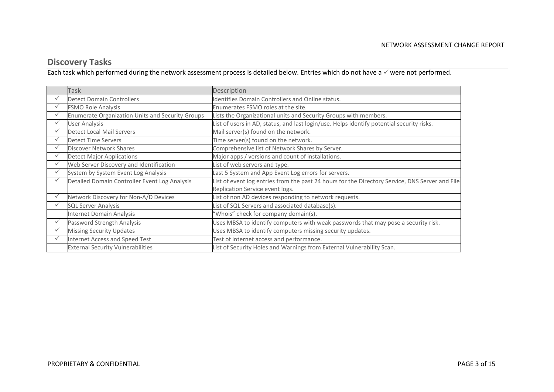## **Discovery Tasks**

Each task which performed during the network assessment process is detailed below. Entries which do not have a  $\checkmark$  were not performed.

|   | <b>Task</b>                                             | Description                                                                                     |
|---|---------------------------------------------------------|-------------------------------------------------------------------------------------------------|
| ✓ | <b>Detect Domain Controllers</b>                        | Identifies Domain Controllers and Online status.                                                |
|   | <b>FSMO Role Analysis</b>                               | Enumerates FSMO roles at the site.                                                              |
|   | <b>Enumerate Organization Units and Security Groups</b> | Lists the Organizational units and Security Groups with members.                                |
|   | <b>User Analysis</b>                                    | List of users in AD, status, and last login/use. Helps identify potential security risks.       |
|   | <b>Detect Local Mail Servers</b>                        | Mail server(s) found on the network.                                                            |
|   | <b>Detect Time Servers</b>                              | Time server(s) found on the network.                                                            |
| ✓ | Discover Network Shares                                 | Comprehensive list of Network Shares by Server.                                                 |
| ✓ | <b>Detect Major Applications</b>                        | Major apps / versions and count of installations.                                               |
| ✓ | Web Server Discovery and Identification                 | List of web servers and type.                                                                   |
|   | System by System Event Log Analysis                     | Last 5 System and App Event Log errors for servers.                                             |
|   | Detailed Domain Controller Event Log Analysis           | List of event log entries from the past 24 hours for the Directory Service, DNS Server and File |
|   |                                                         | Replication Service event logs.                                                                 |
|   | Network Discovery for Non-A/D Devices                   | List of non AD devices responding to network requests.                                          |
| ✓ | <b>SQL Server Analysis</b>                              | List of SQL Servers and associated database(s).                                                 |
|   | Internet Domain Analysis                                | 'Whois" check for company domain(s).                                                            |
|   | Password Strength Analysis                              | Uses MBSA to identify computers with weak passwords that may pose a security risk.              |
|   | <b>Missing Security Updates</b>                         | Uses MBSA to identify computers missing security updates.                                       |
|   | Internet Access and Speed Test                          | Test of internet access and performance.                                                        |
|   | <b>External Security Vulnerabilities</b>                | List of Security Holes and Warnings from External Vulnerability Scan.                           |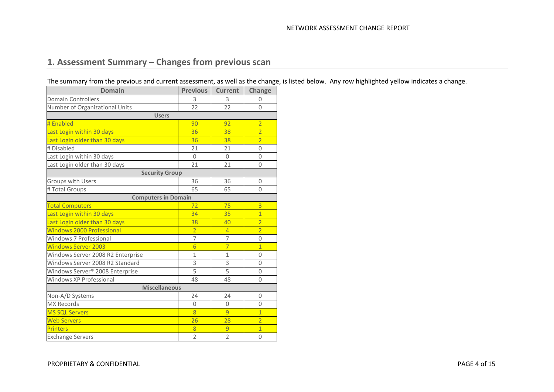## **1. Assessment Summary – Changes from previous scan**

The summary from the previous and current assessment, as well as the change, is listed below. Any row highlighted yellow indicates a change.

| <b>Domain</b>                               | <b>Previous</b> | <b>Current</b> | Change         |  |  |  |  |
|---------------------------------------------|-----------------|----------------|----------------|--|--|--|--|
| <b>Domain Controllers</b>                   | 3               | 3              | 0              |  |  |  |  |
| Number of Organizational Units              | 22              | 22             | $\overline{0}$ |  |  |  |  |
| <b>Users</b>                                |                 |                |                |  |  |  |  |
| # Enabled                                   | 90              | 92             | $\overline{2}$ |  |  |  |  |
| Last Login within 30 days                   | 36              | 38             | $\overline{2}$ |  |  |  |  |
| Last Login older than 30 days               | 36              | 38             | $\overline{2}$ |  |  |  |  |
| # Disabled                                  | 21              | 21             | 0              |  |  |  |  |
| Last Login within 30 days                   | $\mathbf{0}$    | 0              | 0              |  |  |  |  |
| Last Login older than 30 days               | 21              | 21             | $\overline{0}$ |  |  |  |  |
| <b>Security Group</b>                       |                 |                |                |  |  |  |  |
| Groups with Users                           | 36              | 36             | $\overline{0}$ |  |  |  |  |
| # Total Groups                              | 65              | 65             | 0              |  |  |  |  |
| <b>Computers in Domain</b>                  |                 |                |                |  |  |  |  |
| <b>Total Computers</b>                      | 72              | 75             | 3              |  |  |  |  |
| Last Login within 30 days                   | 34              | 35             | $\overline{1}$ |  |  |  |  |
| Last Login older than 30 days               | 38              | 40             | $\overline{2}$ |  |  |  |  |
| <b>Windows 2000 Professional</b>            | $\overline{2}$  | $\overline{4}$ | $\overline{2}$ |  |  |  |  |
| Windows 7 Professional                      | 7               | 7              | 0              |  |  |  |  |
| <b>Windows Server 2003</b>                  | $\overline{6}$  | $\overline{7}$ | $\overline{1}$ |  |  |  |  |
| Windows Server 2008 R2 Enterprise           | $\mathbf{1}$    | $\mathbf{1}$   | 0              |  |  |  |  |
| Windows Server 2008 R2 Standard             | 3               | 3              | $\Omega$       |  |  |  |  |
| Windows Server <sup>®</sup> 2008 Enterprise | 5               | 5              | 0              |  |  |  |  |
| <b>Windows XP Professional</b>              | 48              | 48             | $\overline{0}$ |  |  |  |  |
| <b>Miscellaneous</b>                        |                 |                |                |  |  |  |  |
| Non-A/D Systems                             | 24              | 24             | 0              |  |  |  |  |
| <b>MX Records</b>                           | $\Omega$        | $\Omega$       | 0              |  |  |  |  |
| <b>MS SQL Servers</b>                       | $\overline{8}$  | 9              | $\overline{1}$ |  |  |  |  |
| <b>Web Servers</b>                          | 26              | 28             | $\overline{2}$ |  |  |  |  |
| <b>Printers</b>                             | 8               | 9              | $\overline{1}$ |  |  |  |  |
| <b>Exchange Servers</b>                     | $\overline{2}$  | $\overline{2}$ | $\overline{0}$ |  |  |  |  |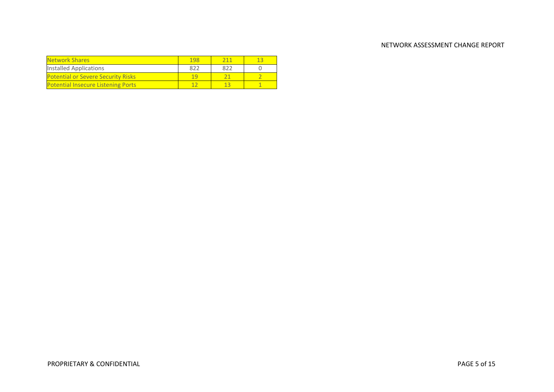| <b>Network Shares</b>                     | 198       |     |  |
|-------------------------------------------|-----------|-----|--|
| Installed Applications                    | 822       | 822 |  |
| <b>Potential or Severe Security Risks</b> | <u>14</u> |     |  |
| <b>Potential Insecure Listening Ports</b> |           |     |  |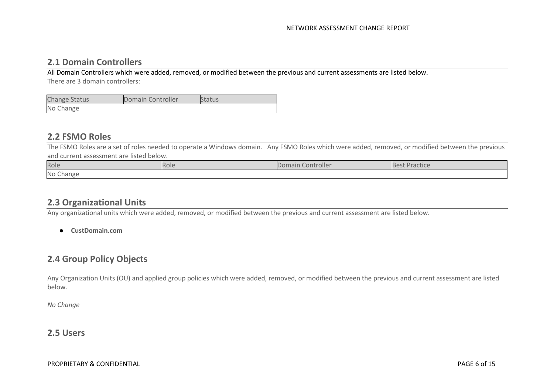#### **2.1 Domain Controllers**

All Domain Controllers which were added, removed, or modified between the previous and current assessments are listed below. There are 3 domain controllers:

| <b>Change Status</b> | Domain Controller | <b>Status</b> |
|----------------------|-------------------|---------------|
| No Change            |                   |               |

#### **2.2 FSMO Roles**

The FSMO Roles are a set of roles needed to operate a Windows domain. Any FSMO Roles which were added, removed, or modified between the previous and current assessment are listed below.

| Role                                  | <b>ROIL</b> | Controlle.<br>Hidil | <b>GULIU</b> |
|---------------------------------------|-------------|---------------------|--------------|
| No <sub>c</sub><br>Chang <sup>r</sup> |             |                     |              |

#### **2.3 Organizational Units**

Any organizational units which were added, removed, or modified between the previous and current assessment are listed below.

● **CustDomain.com**

#### **2.4 Group Policy Objects**

Any Organization Units (OU) and applied group policies which were added, removed, or modified between the previous and current assessment are listed below.

*No Change*

#### **2.5 Users**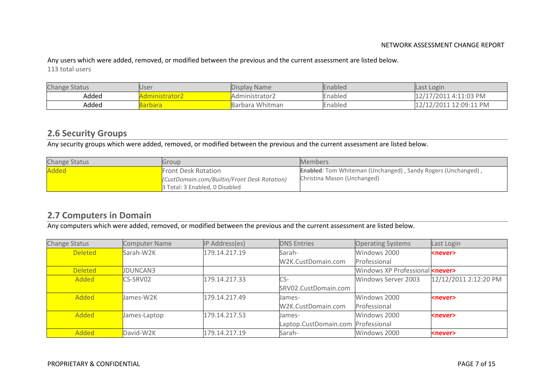Any users which were added, removed, or modified between the previous and the current assessment are listed below. 113 total users

| <b>Change Status</b> | <b>User</b>    | Display Name    | Enabled | Last Login             |
|----------------------|----------------|-----------------|---------|------------------------|
| Added                | ministrator2   | 'Administrator2 | Enabled | 12/17/2011  4:11:03 PM |
| Added                | <b>Barbara</b> | Barbara Whitman | Enabled | 12/12/2011 12:09:11 PM |

#### **2.6 Security Groups**

Any security groups which were added, removed, or modified between the previous and the current assessment are listed below.

| <b>Change Status</b> | Group                                        | <b>Members</b>                                                      |
|----------------------|----------------------------------------------|---------------------------------------------------------------------|
| Added                | <b>Front Desk Rotation</b>                   | <b>Enabled:</b> Tom Whiteman (Unchanged), Sandy Rogers (Unchanged), |
|                      | (CustDomain.com/Builtin/Front Desk Rotation) | Christina Mason (Unchanged)                                         |
|                      | 3 Total: 3 Enabled, 0 Disabled               |                                                                     |

#### **2.7 Computers in Domain**

Any computers which were added, removed, or modified between the previous and the current assessment are listed below.

| Change Status  | Computer Name   | IP Address(es) | <b>DNS Entries</b>    | <b>Operating Systems</b>                | Last Login            |
|----------------|-----------------|----------------|-----------------------|-----------------------------------------|-----------------------|
| <b>Deleted</b> | Sarah-W2K       | 179.14.217.19  | Sarah-                | Windows 2000                            | <never></never>       |
|                |                 |                | W2K.CustDomain.com    | Professional                            |                       |
| <b>Deleted</b> | <b>JDUNCAN3</b> |                |                       | Windows XP Professional <never></never> |                       |
| Added          | CS-SRV02        | 179.14.217.33  | $CS-$                 | Windows Server 2003                     | 12/12/2011 2:12:20 PM |
|                |                 |                | SRV02.CustDomain.com  |                                         |                       |
| Added          | James-W2K       | 179.14.217.49  | James-                | Windows 2000                            | <never></never>       |
|                |                 |                | W2K.CustDomain.com    | Professional                            |                       |
| Added          | James-Laptop    | 179.14.217.53  | James-                | Windows 2000                            | <never></never>       |
|                |                 |                | Laptop.CustDomain.com | Professional                            |                       |
| Added          | David-W2K       | 179.14.217.19  | Sarah-                | Windows 2000                            | <never></never>       |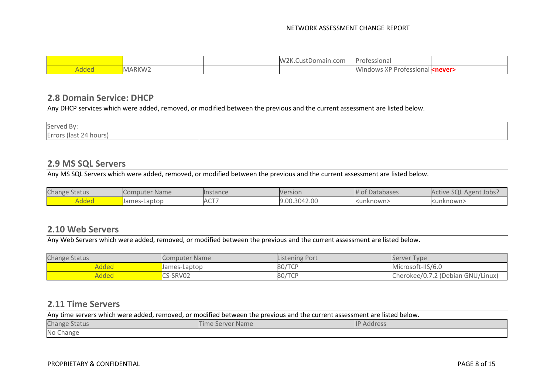|  | nain.com<br>. | ۱۰ ل<br>siona.<br>∩τρ∙                             |
|--|---------------|----------------------------------------------------|
|  |               | ۸۸<br>าตด<br>.<br>O(E)<br>$\sqrt{ }$<br>ישוב.<br>. |

#### **2.8 Domain Service: DHCP**

Any DHCP services which were added, removed, or modified between the previous and the current assessment are listed below.

| Served By:                |  |
|---------------------------|--|
| Errors (last<br>24 hours) |  |

#### **2.9 MS SQL Servers**

Any MS SQL Servers which were added, removed, or modified between the previous and the current assessment are listed below.

| <b>Change Status</b> | Computer Name | <b>Instance</b>  | Version      | # of Databases | Active SQL Agent Jobs? |
|----------------------|---------------|------------------|--------------|----------------|------------------------|
| <u> Added</u>        | James-Laptop  | ACT <sup>-</sup> | 9.00.3042.00 | kunknown>      | <unknown></unknown>    |

#### **2.10 Web Servers**

Any Web Servers which were added, removed, or modified between the previous and the current assessment are listed below.

| <b>Change Status</b> | <b>Computer Name</b> | Listening Port | Server Type                       |
|----------------------|----------------------|----------------|-----------------------------------|
| Added                | James-Laptop         | 80/TCP         | Microsoft-IIS/6.0                 |
| Added                | CS-SRV02             | 80/TCP         | Cherokee/0.7.2 (Debian GNU/Linux) |

#### **2.11 Time Servers**

| Any time servers which were added, removed, or modified between the previous and the current assessment are listed below. |  |  |  |  |
|---------------------------------------------------------------------------------------------------------------------------|--|--|--|--|
| <b>Change Status</b><br><b>IP Address</b><br>Time Server Name                                                             |  |  |  |  |
| No Change                                                                                                                 |  |  |  |  |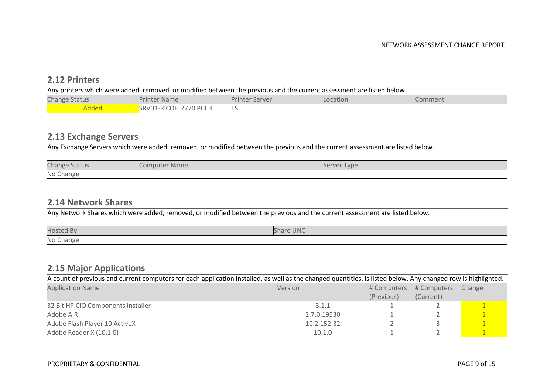#### **2.12 Printers**

| Any printers which were added, removed, or modified between the previous and the current assessment are listed below. |                        |                       |          |         |  |
|-----------------------------------------------------------------------------------------------------------------------|------------------------|-----------------------|----------|---------|--|
| <b>Change Status</b>                                                                                                  | <b>Printer Name</b>    | <b>Printer Server</b> | Location | Comment |  |
| Added                                                                                                                 | SRV01-RICOH 7770 PCL 4 |                       |          |         |  |

#### **2.13 Exchange Servers**

Any Exchange Servers which were added, removed, or modified between the previous and the current assessment are listed below.

| Change        | <b>Name</b> | <u>Ivpe</u> |
|---------------|-------------|-------------|
| <b>Status</b> | 100 I H     | erver       |
| No Change     |             |             |

#### **2.14 Network Shares**

Any Network Shares which were added, removed, or modified between the previous and the current assessment are listed below.

| <b>Hosted By</b> | Share UNC |
|------------------|-----------|
| No Change        |           |

#### **2.15 Major Applications**

A count of previous and current computers for each application installed, as well as the changed quantities, is listed below. Any changed row is highlighted.

| <b>Application Name</b>            | <b>Version</b> | # Computers | # Computers | Change |
|------------------------------------|----------------|-------------|-------------|--------|
|                                    |                | (Previous)  | (Current)   |        |
| 32 Bit HP CIO Components Installer | 3.1.1          |             |             |        |
| Adobe AIR                          | 2.7.0.19530    |             |             |        |
| Adobe Flash Player 10 ActiveX      | 10.2.152.32    |             |             |        |
| Adobe Reader X (10.1.0)            | 10.1.0         |             |             |        |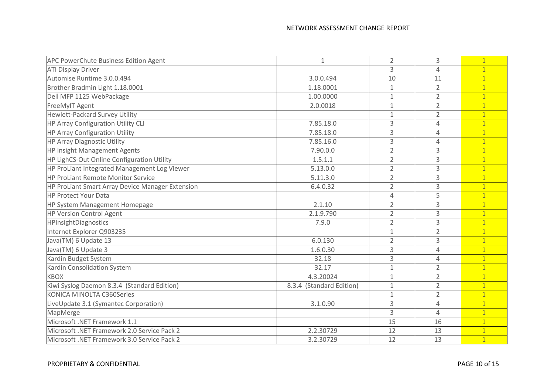| <b>APC PowerChute Business Edition Agent</b>     | $\mathbf 1$              | $\overline{2}$ | 3              | $\mathbf{1}$   |
|--------------------------------------------------|--------------------------|----------------|----------------|----------------|
| <b>ATI Display Driver</b>                        |                          | 3              | 4              | $\mathbf{1}$   |
| Automise Runtime 3.0.0.494                       | 3.0.0.494                | 10             | 11             | $\mathbf{1}$   |
| Brother Bradmin Light 1.18.0001                  | 1.18.0001                | $\mathbf{1}$   | $\overline{2}$ | $\overline{1}$ |
| Dell MFP 1125 WebPackage                         | 1.00.0000                | $\mathbf{1}$   | $\overline{2}$ | $\mathbf{1}$   |
| FreeMyIT Agent                                   | 2.0.0018                 | $\mathbf{1}$   | $\overline{2}$ | $\overline{1}$ |
| <b>Hewlett-Packard Survey Utility</b>            |                          | $\mathbf{1}$   | $\overline{2}$ | $\overline{1}$ |
| <b>HP Array Configuration Utility CLI</b>        | 7.85.18.0                | 3              | 4              | $\mathbf{1}$   |
| <b>HP Array Configuration Utility</b>            | 7.85.18.0                | 3              | 4              | $\overline{1}$ |
| <b>HP Array Diagnostic Utility</b>               | 7.85.16.0                | 3              | 4              | $\mathbf{1}$   |
| HP Insight Management Agents                     | 7.90.0.0                 | $\overline{2}$ | 3              | $\mathbf{1}$   |
| HP LighCS-Out Online Configuration Utility       | 1.5.1.1                  | $\overline{2}$ | 3              | $\mathbf{1}$   |
| HP ProLiant Integrated Management Log Viewer     | 5.13.0.0                 | $\overline{2}$ | 3              | $\overline{1}$ |
| <b>HP ProLiant Remote Monitor Service</b>        | 5.11.3.0                 | $\overline{2}$ | 3              | $\overline{1}$ |
| HP ProLiant Smart Array Device Manager Extension | 6.4.0.32                 | $\overline{2}$ | 3              | $\mathbf{1}$   |
| <b>HP Protect Your Data</b>                      |                          | 4              | 5              | $\mathbf{1}$   |
| HP System Management Homepage                    | 2.1.10                   | $\overline{2}$ | 3              | $\overline{1}$ |
| <b>HP Version Control Agent</b>                  | 2.1.9.790                | $\overline{2}$ | 3              | $\mathbf{1}$   |
| HPInsightDiagnostics                             | 7.9.0                    | $\overline{2}$ | 3              | $\mathbf{1}$   |
| Internet Explorer Q903235                        |                          | $\mathbf{1}$   | $\overline{2}$ | $\overline{1}$ |
| Java(TM) 6 Update 13                             | 6.0.130                  | $\overline{2}$ | 3              | $\mathbf{1}$   |
| Java(TM) 6 Update 3                              | 1.6.0.30                 | 3              | 4              | $\mathbf{1}$   |
| Kardin Budget System                             | 32.18                    | 3              | 4              | $\overline{1}$ |
| Kardin Consolidation System                      | 32.17                    | $\mathbf{1}$   | $\overline{2}$ | $\mathbf{1}$   |
| <b>KBOX</b>                                      | 4.3.20024                | 1              | $\overline{2}$ | $\mathbf{1}$   |
| Kiwi Syslog Daemon 8.3.4 (Standard Edition)      | 8.3.4 (Standard Edition) | $\mathbf 1$    | $\overline{2}$ | $\mathbf{1}$   |
| KONICA MINOLTA C360Series                        |                          | $\mathbf{1}$   | $\overline{2}$ | $\overline{1}$ |
| LiveUpdate 3.1 (Symantec Corporation)            | 3.1.0.90                 | 3              | 4              | $\overline{1}$ |
| MapMerge                                         |                          | 3              | 4              | $\overline{1}$ |
| Microsoft .NET Framework 1.1                     |                          | 15             | 16             | $\mathbf{1}$   |
| Microsoft .NET Framework 2.0 Service Pack 2      | 2.2.30729                | 12             | 13             |                |
| Microsoft .NET Framework 3.0 Service Pack 2      | 3.2.30729                | 12             | 13             | $\overline{1}$ |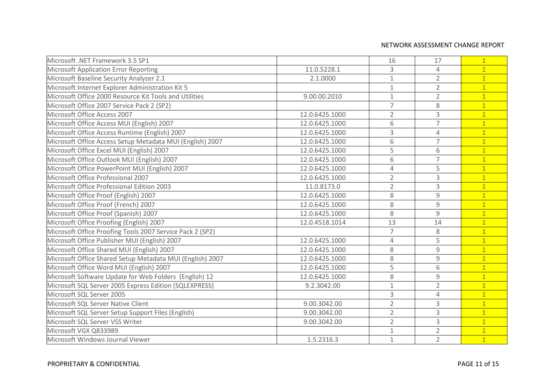| Microsoft .NET Framework 3.5 SP1                          |                | 16             | 17             | $\overline{1}$ |
|-----------------------------------------------------------|----------------|----------------|----------------|----------------|
| <b>Microsoft Application Error Reporting</b>              | 11.0.5228.1    | 3              | $\overline{4}$ | $\overline{1}$ |
| Microsoft Baseline Security Analyzer 2.1                  | 2.1.0000       | $1\,$          | $\overline{2}$ | $\mathbf{1}$   |
| Microsoft Internet Explorer Administration Kit 5          |                | $1\,$          | $\overline{2}$ | $\overline{1}$ |
| Microsoft Office 2000 Resource Kit Tools and Utilities    | 9.00.00.2010   | $1\,$          | $\overline{2}$ | $\overline{1}$ |
| Microsoft Office 2007 Service Pack 2 (SP2)                |                | $\overline{7}$ | 8              | $\mathbf{1}$   |
| Microsoft Office Access 2007                              | 12.0.6425.1000 | $\overline{2}$ | $\overline{3}$ | $\overline{1}$ |
| Microsoft Office Access MUI (English) 2007                | 12.0.6425.1000 | 6              | $\overline{7}$ | $\overline{1}$ |
| Microsoft Office Access Runtime (English) 2007            | 12.0.6425.1000 | $\mathsf{3}$   | $\overline{4}$ | $\mathbf{1}$   |
| Microsoft Office Access Setup Metadata MUI (English) 2007 | 12.0.6425.1000 | 6              | $\overline{7}$ | $\overline{1}$ |
| Microsoft Office Excel MUI (English) 2007                 | 12.0.6425.1000 | 5              | 6              | $\overline{1}$ |
| Microsoft Office Outlook MUI (English) 2007               | 12.0.6425.1000 | 6              | $\overline{7}$ | $\overline{1}$ |
| Microsoft Office PowerPoint MUI (English) 2007            | 12.0.6425.1000 | $\overline{4}$ | 5              | $\mathbf{1}$   |
| Microsoft Office Professional 2007                        | 12.0.6425.1000 | $\overline{2}$ | $\overline{3}$ | $\overline{1}$ |
| Microsoft Office Professional Edition 2003                | 11.0.8173.0    | $\overline{2}$ | 3              | $\overline{1}$ |
| Microsoft Office Proof (English) 2007                     | 12.0.6425.1000 | 8              | 9              | $\overline{1}$ |
| Microsoft Office Proof (French) 2007                      | 12.0.6425.1000 | 8              | 9              | $\mathbf{1}$   |
| Microsoft Office Proof (Spanish) 2007                     | 12.0.6425.1000 | 8              | 9              | $\overline{1}$ |
| Microsoft Office Proofing (English) 2007                  | 12.0.4518.1014 | 13             | 14             | $\overline{1}$ |
| Microsoft Office Proofing Tools 2007 Service Pack 2 (SP2) |                | $\overline{7}$ | 8              | $\mathbf{1}$   |
| Microsoft Office Publisher MUI (English) 2007             | 12.0.6425.1000 | $\overline{4}$ | 5              | $\overline{1}$ |
| Microsoft Office Shared MUI (English) 2007                | 12.0.6425.1000 | 8              | 9              | $\overline{1}$ |
| Microsoft Office Shared Setup Metadata MUI (English) 2007 | 12.0.6425.1000 | 8              | 9              | $\overline{1}$ |
| Microsoft Office Word MUI (English) 2007                  | 12.0.6425.1000 | 5              | 6              | $\overline{1}$ |
| Microsoft Software Update for Web Folders (English) 12    | 12.0.6425.1000 | 8              | $\overline{9}$ | $\overline{1}$ |
| Microsoft SQL Server 2005 Express Edition (SQLEXPRESS)    | 9.2.3042.00    | $1\,$          | $\overline{2}$ | $\mathbf{1}$   |
| Microsoft SQL Server 2005                                 |                | $\mathsf 3$    | $\overline{4}$ | $\overline{1}$ |
| Microsoft SQL Server Native Client                        | 9.00.3042.00   | $\overline{2}$ | 3              | $\overline{1}$ |
| Microsoft SQL Server Setup Support Files (English)        | 9.00.3042.00   | $\overline{2}$ | 3              | $\overline{1}$ |
| Microsoft SQL Server VSS Writer                           | 9.00.3042.00   | $\overline{2}$ | 3              | $\overline{1}$ |
| Microsoft VGX Q833989                                     |                | $1\,$          | $\overline{2}$ | $\overline{1}$ |
| Microsoft Windows Journal Viewer                          | 1.5.2316.3     | $\mathbf{1}$   | $\overline{2}$ | $\mathbf{1}$   |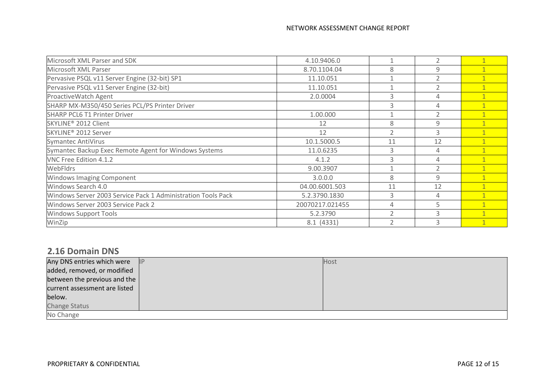| 4.10.9406.0     |                          |                          |   |
|-----------------|--------------------------|--------------------------|---|
| 8.70.1104.04    | 8                        | 9                        |   |
| 11.10.051       |                          |                          |   |
| 11.10.051       | $\mathbf{1}$             | $\overline{\phantom{0}}$ |   |
| 2.0.0004        | 3                        | 4                        |   |
|                 | 3                        | $\Delta$                 |   |
| 1.00.000        |                          |                          |   |
| 12              | 8                        | $\mathsf{q}$             |   |
| 12              | $\overline{2}$           | 3                        |   |
| 10.1.5000.5     | 11                       | 12                       |   |
| 11.0.6235       | 3                        | 4                        |   |
| 4.1.2           | 3                        | $\overline{A}$           |   |
| 9.00.3907       |                          |                          |   |
| 3.0.0.0         | 8                        | 9                        |   |
| 04.00.6001.503  | 11                       | 12                       |   |
| 5.2.3790.1830   | 3                        | 4                        |   |
| 20070217.021455 | 4                        | 5                        |   |
| 5.2.3790        | $\overline{2}$           | $\mathcal{R}$            | 1 |
| 8.1 (4331)      | $\overline{\phantom{0}}$ | 3                        |   |
|                 |                          |                          |   |

#### **2.16 Domain DNS**

| Any DNS entries which were   P   | Host |
|----------------------------------|------|
| added, removed, or modified      |      |
| between the previous and the $ $ |      |
| current assessment are listed    |      |
| below.                           |      |
| <b>Change Status</b>             |      |
| No Change                        |      |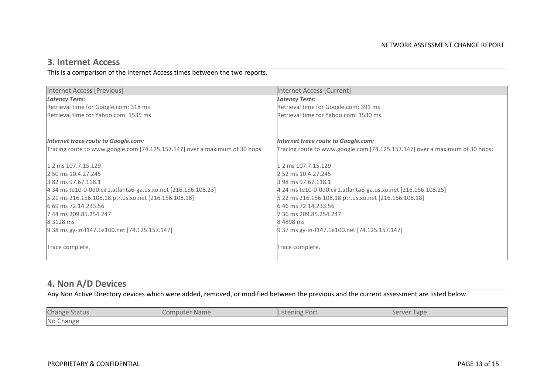#### **3. Internet Access**

This is a comparison of the Internet Access times between the two reports.

| <b>Internet Access [Previous]</b>                                           | Internet Access [Current]                                                   |
|-----------------------------------------------------------------------------|-----------------------------------------------------------------------------|
| <b>Latency Tests:</b>                                                       | <b>Latency Tests:</b>                                                       |
| Retrieval time for Google.com: 318 ms                                       | Retrieval time for Google.com: 391 ms                                       |
| Retrieval time for Yahoo.com: 1535 ms                                       | Retrieval time for Yahoo.com: 1530 ms                                       |
|                                                                             |                                                                             |
| Internet trace route to Google.com:                                         | Internet trace route to Google.com:                                         |
| Tracing route to www.google.com [74.125.157.147] over a maximum of 30 hops: | Tracing route to www.google.com [74.125.157.147] over a maximum of 30 hops: |
| 1 2 ms 107.7.15.129                                                         | 1 2 ms 107.7.15.129                                                         |
| 2 50 ms 10.4.27.245                                                         | 2 52 ms 10.4.27.245                                                         |
| 3 82 ms 97.67.118.1                                                         | 3 98 ms 97.67.118.1                                                         |
| 4 34 ms te10-0-0d0.cir1.atlanta6-ga.us.xo.net [216.156.108.23]              | 4 24 ms te10-0-0d0.cir1.atlanta6-ga.us.xo.net [216.156.108.25]              |
| 5 21 ms 216.156.108.18.ptr.us.xo.net [216.156.108.18]                       | 5 22 ms 216.156.108.18.ptr.us.xo.net [216.156.108.18]                       |
| 6 69 ms 72.14.233.56                                                        | 646 ms 72.14.233.56                                                         |
| 744 ms 209.85.254.247                                                       | 7 36 ms 209.85.254.247                                                      |
| 8 3128 ms                                                                   | 84898 ms                                                                    |
| 9 38 ms gy-in-f147.1e100.net [74.125.157.147]                               | 9 37 ms gy-in-f147.1e100.net [74.125.157.147]                               |
| Trace complete.                                                             | Trace complete.                                                             |

#### **4. Non A/D Devices**

Any Non Active Directory devices which were added, removed, or modified between the previous and the current assessment are listed below.

| <b>Change Status</b> | Computer Name | <b>Listening Port</b> | Server Type |
|----------------------|---------------|-----------------------|-------------|
| No Change            |               |                       |             |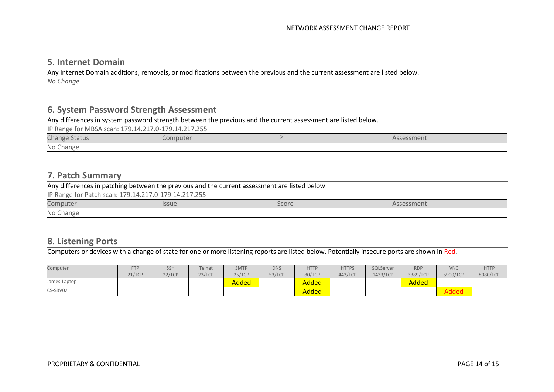#### **5. Internet Domain**

Any Internet Domain additions, removals, or modifications between the previous and the current assessment are listed below. *No Change*

#### **6. System Password Strength Assessment**

Any differences in system password strength between the previous and the current assessment are listed below.

IP Range for MBSA scan: 179.14.217.0-179.14.217.255

| Change<br>itatus | compute. | `sment |
|------------------|----------|--------|
| No Change        |          |        |

#### **7. Patch Summary**

Any differences in patching between the previous and the current assessment are listed below.

IP Range for Patch scan: 179.14.217.0-179.14.217.255

| C <sub>0</sub><br>omnu    | 55UI | Score |  |
|---------------------------|------|-------|--|
| No <sub>0</sub><br>∵hano⊢ |      |       |  |

#### **8. Listening Ports**

Computers or devices with a change of state for one or more listening reports are listed below. Potentially insecure ports are shown in Red.

| Computer     | <b>FTP</b> | <b>SSH</b> | Telnet | <b>SMTP</b> | <b>DNS</b> | <b>HTTP</b>  | <b>HTTPS</b> | SQLServer | <b>RDP</b> | <b>VNC</b>           | <b>HTTP</b> |
|--------------|------------|------------|--------|-------------|------------|--------------|--------------|-----------|------------|----------------------|-------------|
|              | 21/TCP     | 22/TCP     | 23/TCP | 25/TCP      | 53/TCP     | 80/TCP       | 443/TCP      | 1433/TCP  | 3389/TCP   | 5900/TCP             | 8080/TCI    |
| James-Laptop |            |            |        | Added       |            | <b>Added</b> |              |           | Added      |                      |             |
| CS-SRV02     |            |            |        |             |            | Added        |              |           |            | <b>Adod</b><br>nuucu |             |